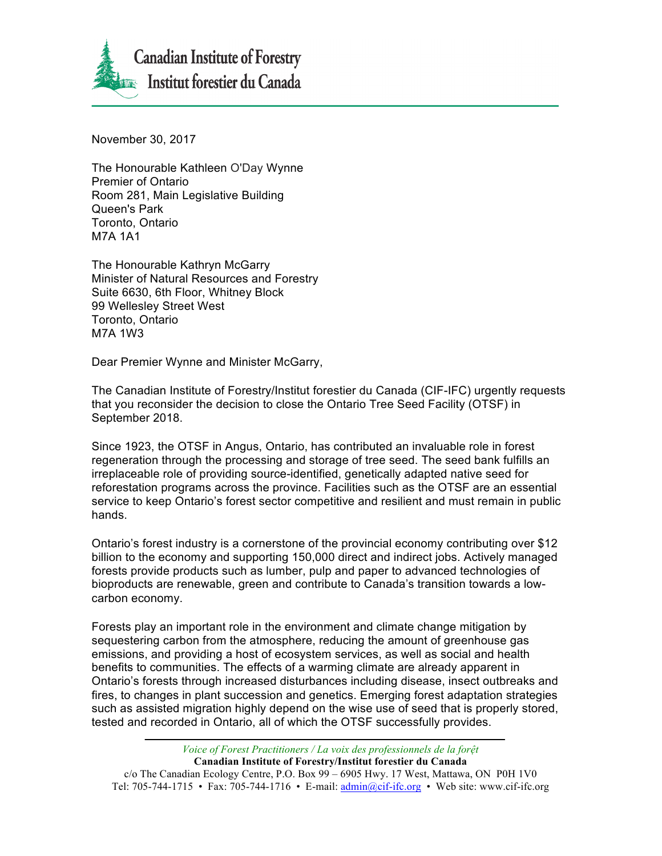

November 30, 2017

The Honourable Kathleen O'Day Wynne Premier of Ontario Room 281, Main Legislative Building Queen's Park Toronto, Ontario M7A 1A1

The Honourable Kathryn McGarry Minister of Natural Resources and Forestry Suite 6630, 6th Floor, Whitney Block 99 Wellesley Street West Toronto, Ontario M7A 1W3

Dear Premier Wynne and Minister McGarry,

The Canadian Institute of Forestry/Institut forestier du Canada (CIF-IFC) urgently requests that you reconsider the decision to close the Ontario Tree Seed Facility (OTSF) in September 2018.

Since 1923, the OTSF in Angus, Ontario, has contributed an invaluable role in forest regeneration through the processing and storage of tree seed. The seed bank fulfills an irreplaceable role of providing source-identified, genetically adapted native seed for reforestation programs across the province. Facilities such as the OTSF are an essential service to keep Ontario's forest sector competitive and resilient and must remain in public hands.

Ontario's forest industry is a cornerstone of the provincial economy contributing over \$12 billion to the economy and supporting 150,000 direct and indirect jobs. Actively managed forests provide products such as lumber, pulp and paper to advanced technologies of bioproducts are renewable, green and contribute to Canada's transition towards a lowcarbon economy.

Forests play an important role in the environment and climate change mitigation by sequestering carbon from the atmosphere, reducing the amount of greenhouse gas emissions, and providing a host of ecosystem services, as well as social and health benefits to communities. The effects of a warming climate are already apparent in Ontario's forests through increased disturbances including disease, insect outbreaks and fires, to changes in plant succession and genetics. Emerging forest adaptation strategies such as assisted migration highly depend on the wise use of seed that is properly stored, tested and recorded in Ontario, all of which the OTSF successfully provides.

*Voice of Forest Practitioners / La voix des professionnels de la forệt* **Canadian Institute of Forestry/Institut forestier du Canada** c/o The Canadian Ecology Centre, P.O. Box 99 – 6905 Hwy. 17 West, Mattawa, ON P0H 1V0 Tel: 705-744-1715 • Fax: 705-744-1716 • E-mail:  $\text{admin}(\partial \text{crit-} \text{ifc.org} \cdot \text{Web site: www.cif-} \text{ifc.org})$